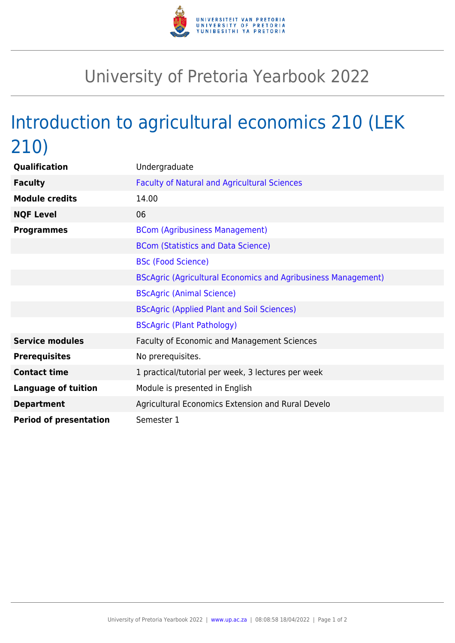

## University of Pretoria Yearbook 2022

## Introduction to agricultural economics 210 (LEK 210)

| Qualification                 | Undergraduate                                                        |
|-------------------------------|----------------------------------------------------------------------|
| <b>Faculty</b>                | <b>Faculty of Natural and Agricultural Sciences</b>                  |
| <b>Module credits</b>         | 14.00                                                                |
| <b>NQF Level</b>              | 06                                                                   |
| <b>Programmes</b>             | <b>BCom (Agribusiness Management)</b>                                |
|                               | <b>BCom (Statistics and Data Science)</b>                            |
|                               | <b>BSc (Food Science)</b>                                            |
|                               | <b>BScAgric (Agricultural Economics and Agribusiness Management)</b> |
|                               | <b>BScAgric (Animal Science)</b>                                     |
|                               | <b>BScAgric (Applied Plant and Soil Sciences)</b>                    |
|                               | <b>BScAgric (Plant Pathology)</b>                                    |
| <b>Service modules</b>        | Faculty of Economic and Management Sciences                          |
| <b>Prerequisites</b>          | No prerequisites.                                                    |
| <b>Contact time</b>           | 1 practical/tutorial per week, 3 lectures per week                   |
| <b>Language of tuition</b>    | Module is presented in English                                       |
| <b>Department</b>             | Agricultural Economics Extension and Rural Develo                    |
| <b>Period of presentation</b> | Semester 1                                                           |